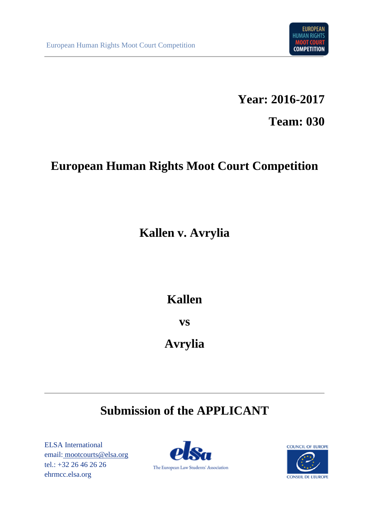

**Year: 2016-2017**

**Team: 030**

# **European Human Rights Moot Court Competition**

**Kallen v. Avrylia**

# **Kallen**

**vs**

**Avrylia**

# **Submission of the APPLICANT**

ELSA International email: mootcourts@elsa.org tel.: +32 26 46 26 26 ehrmcc.elsa.org



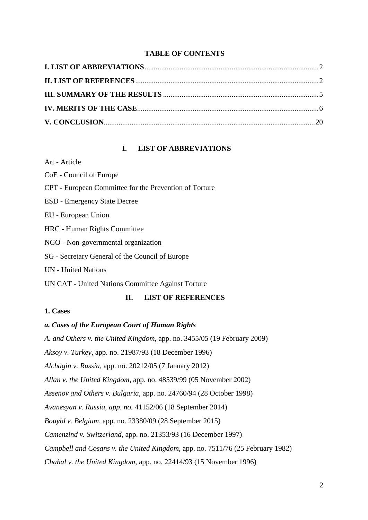#### **TABLE OF CONTENTS**

# **I. LIST OF ABBREVIATIONS**

<span id="page-1-0"></span>Art - Article

CoE - Council of Europe CPT - European Committee for the Prevention of Torture ESD - Emergency State Decree EU - European Union HRC - Human Rights Committee NGO - Non-governmental organization SG - Secretary General of the Council of Europe UN - United Nations UN CAT - United Nations Committee Against Torture

# **II. LIST OF REFERENCES**

# <span id="page-1-1"></span>**1. Cases**

#### *a. Cases of the European Court of Human Rights*

*A. and Others v. the United Kingdom*, app. no. 3455/05 (19 February 2009)

*Aksoy v. Turkey*, app. no. 21987/93 (18 December 1996)

*Alchagin v. Russia,* app. no. 20212/05 (7 January 2012)

*Allan v. the United Kingdom,* app. no. 48539/99 (05 November 2002)

*Assenov and Others v. Bulgaria*, app. no. 24760/94 (28 October 1998)

*Avanesyan v. Russia, app. no.* 41152/06 (18 September 2014)

*Bouyid v. Belgium*, app. no. 23380/09 (28 September 2015)

*Camenzind v. Switzerland*, app. no. 21353/93 (16 December 1997)

*Campbell and Cosans v. the United Kingdom*, app. no. 7511/76 (25 February 1982)

*Chahal v. the United Kingdom*, app. no. 22414/93 (15 November 1996)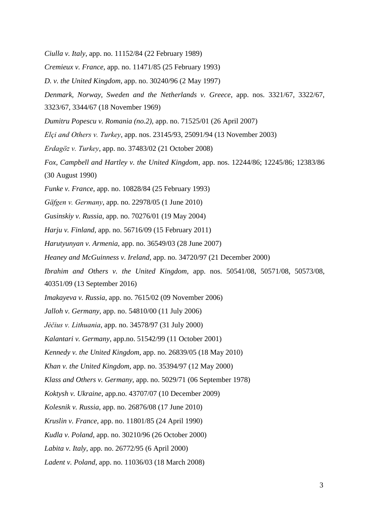*Ciulla v. Italy*, app. no. 11152/84 (22 February 1989)

*Cremieux v. France*, app. no. 11471/85 (25 February 1993)

*D. v. the United Kingdom*, app. no. 30240/96 (2 May 1997)

*Denmark, Norway, Sweden and the Netherlands v. Greece*, app. nos. 3321/67, 3322/67,

3323/67, 3344/67 (18 November 1969)

*Dumitru Popescu v. Romania (no.2)*, app. no. 71525/01 (26 April 2007)

*Elçi and Others v. Turkey*, app. nos. 23145/93, 25091/94 (13 November 2003)

*Erdagöz v. Turkey*, app. no. 37483/02 (21 October 2008)

*Fox, Campbell and Hartley v. the United Kingdom*, app. nos. 12244/86; 12245/86; 12383/86 (30 August 1990)

*Funke v. France*, app. no. 10828/84 (25 February 1993)

*Gäfgen v. Germany*, app. no. 22978/05 (1 June 2010)

*Gusinskiy v. Russia*, app. no. 70276/01 (19 May 2004)

*Harju v. Finland,* app. no. 56716/09 (15 February 2011)

*Harutyunyan v. Armenia,* app. no. 36549/03 (28 June 2007)

*Heaney and McGuinness v. Ireland,* app. no. 34720/97 (21 December 2000)

*Ibrahim and Others v. the United Kingdom,* app. nos. 50541/08, 50571/08, 50573/08,

40351/09 (13 September 2016)

*Imakayeva v. Russia*, app. no. 7615/02 (09 November 2006)

*Jalloh v. Germany,* app. no. 54810/00 (11 July 2006)

*Jėčius v. Lithuania*, app. no. 34578/97 (31 July 2000)

*Kalantari v. Germany*, app.no. 51542/99 (11 October 2001)

*Kennedy v. the United Kingdom*, app. no. 26839/05 (18 May 2010)

*Khan v. the United Kingdom,* app. no. 35394/97 (12 May 2000)

*Klass and Others v. Germany,* app. no. 5029/71 (06 September 1978)

*Koktysh v. Ukraine*, app.no. 43707/07 (10 December 2009)

*Kolesnik v. Russia*, app. no. 26876/08 (17 June 2010)

*Kruslin v. France*, app. no. 11801/85 (24 April 1990)

*Kudla v. Poland*, app. no. 30210/96 (26 October 2000)

*Labita v. Italy*, app. no. 26772/95 (6 April 2000)

*Ladent v. Poland*, app. no. 11036/03 (18 March 2008)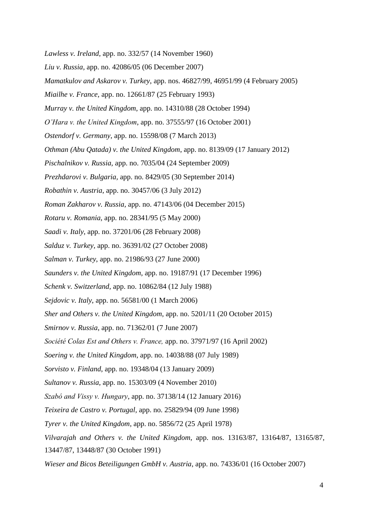*Lawless v. Ireland*, app. no. 332/57 (14 November 1960) *Liu v. Russia,* app. no. 42086/05 (06 December 2007) *Mamatkulov and Askarov v. Turkey*, app. nos. 46827/99, 46951/99 (4 February 2005) *Miailhe v. France*, app. no. 12661/87 (25 February 1993) *Murray v. the United Kingdom*, app. no. 14310/88 (28 October 1994) *O'Hara v. the United Kingdom*, app. no. 37555/97 (16 October 2001) *Ostendorf v. Germany*, app. no. 15598/08 (7 March 2013) *Othman (Abu Qatada) v. the United Kingdom*, app. no. 8139/09 (17 January 2012) *Pischalnikov v. Russia,* app. no. 7035/04 (24 September 2009) *Prezhdarovi v. Bulgaria,* app. no. 8429/05 (30 September 2014) *Robathin v. Austria*, app. no. 30457/06 (3 July 2012) *Roman Zakharov v. Russia,* app. no. 47143/06 (04 December 2015) *Rotaru v. Romania*, app. no. 28341/95 (5 May 2000) *Saadi v. Italy*, app. no. 37201/06 (28 February 2008) *Salduz v. Turkey,* app. no. 36391/02 (27 October 2008) *Salman v. Turkey*, app. no. 21986/93 (27 June 2000) *Saunders v. the United Kingdom*, app. no. 19187/91 (17 December 1996) *Schenk v. Switzerland,* app. no. 10862/84 (12 July 1988) *Sejdovic v. Italy*, app. no. 56581/00 (1 March 2006) *Sher and Others v. the United Kingdom*, app. no. 5201/11 (20 October 2015) *Smirnov v. Russia*, app. no. 71362/01 (7 June 2007) *Société Colas Est and Others v. France,* app. no. 37971/97 (16 April 2002) *Soering v. the United Kingdom*, app. no. 14038/88 (07 July 1989) *Sorvisto v. Finland*, app. no. 19348/04 (13 January 2009) *Sultanov v. Russia*, app. no. 15303/09 (4 November 2010) *Szabó and Vissy v. Hungary*, app. no. 37138/14 (12 January 2016) *Teixeira de Castro v. Portugal,* app. no. 25829/94 (09 June 1998) *Tyrer v. the United Kingdom*, app. no. 5856/72 (25 April 1978) *Vilvarajah and Others v. the United Kingdom*, app. nos. 13163/87, 13164/87, 13165/87, 13447/87, 13448/87 (30 October 1991) *Wieser and Bicos Beteiligungen GmbH v. Austria*, app. no. 74336/01 (16 October 2007)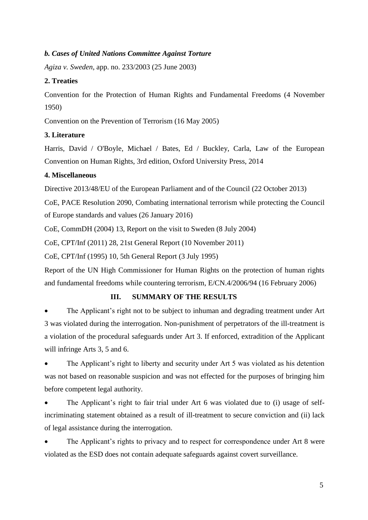# *b. Cases of United Nations Committee Against Torture*

*Agiza v. Sweden*, app. no. 233/2003 (25 June 2003)

# **2. Treaties**

Convention for the Protection of Human Rights and Fundamental Freedoms (4 November 1950)

Convention on the Prevention of Terrorism (16 May 2005)

# **3. Literature**

Harris, David / O'Boyle, Michael / Bates, Ed / Buckley, Carla, Law of the European Convention on Human Rights, 3rd edition, Oxford University Press, 2014

# **4. Miscellaneous**

Directive 2013/48/EU of the European Parliament and of the Council (22 October 2013)

CoE, PACE Resolution 2090, Combating international terrorism while protecting the Council of Europe standards and values (26 January 2016)

CoE, CommDH (2004) 13, Report on the visit to Sweden (8 July 2004)

CoE, CPT/Inf (2011) 28, 21st General Report (10 November 2011)

CoE, CPT/Inf (1995) 10, 5th General Report (3 July 1995)

Report of the UN High Commissioner for Human Rights on the protection of human rights and fundamental freedoms while countering terrorism, E/CN.4/2006/94 (16 February 2006)

# **III. SUMMARY OF THE RESULTS**

<span id="page-4-0"></span>The Applicant's right not to be subject to inhuman and degrading treatment under Art 3 was violated during the interrogation. Non-punishment of perpetrators of the ill-treatment is a violation of the procedural safeguards under Art 3. If enforced, extradition of the Applicant will infringe Arts 3, 5 and 6.

The Applicant's right to liberty and security under Art 5 was violated as his detention was not based on reasonable suspicion and was not effected for the purposes of bringing him before competent legal authority.

• The Applicant's right to fair trial under Art 6 was violated due to (i) usage of selfincriminating statement obtained as a result of ill-treatment to secure conviction and (ii) lack of legal assistance during the interrogation.

The Applicant's rights to privacy and to respect for correspondence under Art 8 were violated as the ESD does not contain adequate safeguards against covert surveillance.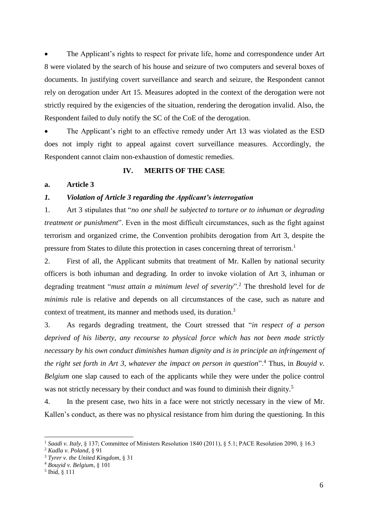The Applicant's rights to respect for private life, home and correspondence under Art 8 were violated by the search of his house and seizure of two computers and several boxes of documents. In justifying covert surveillance and search and seizure, the Respondent cannot rely on derogation under Art 15. Measures adopted in the context of the derogation were not strictly required by the exigencies of the situation, rendering the derogation invalid. Also, the Respondent failed to duly notify the SC of the CoE of the derogation.

The Applicant's right to an effective remedy under Art 13 was violated as the ESD does not imply right to appeal against covert surveillance measures. Accordingly, the Respondent cannot claim non-exhaustion of domestic remedies.

#### **IV. MERITS OF THE CASE**

#### <span id="page-5-0"></span>**a. Article 3**

#### *1. Violation of Article 3 regarding the Applicant's interrogation*

1. Art 3 stipulates that "*no one shall be subjected to torture or to inhuman or degrading treatment or punishment*". Even in the most difficult circumstances, such as the fight against terrorism and organized crime, the Convention prohibits derogation from Art 3, despite the pressure from States to dilute this protection in cases concerning threat of terrorism.<sup>1</sup>

2. First of all, the Applicant submits that treatment of Mr. Kallen by national security officers is both inhuman and degrading. In order to invoke violation of Art 3, inhuman or degrading treatment "*must attain a minimum level of severity*".<sup>2</sup> The threshold level for *de minimis* rule is relative and depends on all circumstances of the case, such as nature and context of treatment, its manner and methods used, its duration.<sup>3</sup>

3. As regards degrading treatment, the Court stressed that "*in respect of a person deprived of his liberty, any recourse to physical force which has not been made strictly necessary by his own conduct diminishes human dignity and is in principle an infringement of the right set forth in Art 3, whatever the impact on person in question*".<sup>4</sup> Thus, in *Bouyid v. Belgium* one slap caused to each of the applicants while they were under the police control was not strictly necessary by their conduct and was found to diminish their dignity.<sup>5</sup>

4. In the present case, two hits in a face were not strictly necessary in the view of Mr. Kallen's conduct, as there was no physical resistance from him during the questioning. In this

<sup>1</sup> *Saadi v. Italy*, § 137; Committee of Ministers Resolution 1840 (2011), § 5.1; PACE Resolution 2090, § 16.3

<sup>2</sup> *Kudla v. Poland*, § 91

<sup>3</sup> *Tyrer v. the United Kingdom*, § 31

<sup>4</sup> *Bouyid v. Belgium*, § 101

<sup>5</sup> Ibid, § 111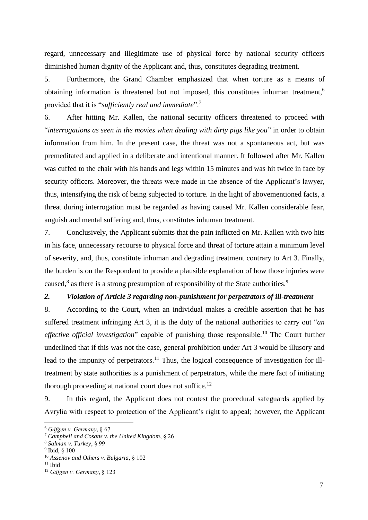regard, unnecessary and illegitimate use of physical force by national security officers diminished human dignity of the Applicant and, thus, constitutes degrading treatment.

5. Furthermore, the Grand Chamber emphasized that when torture as a means of obtaining information is threatened but not imposed, this constitutes inhuman treatment,<sup>6</sup> provided that it is "*sufficiently real and immediate*".<sup>7</sup>

6. After hitting Mr. Kallen, the national security officers threatened to proceed with "*interrogations as seen in the movies when dealing with dirty pigs like you*" in order to obtain information from him. In the present case, the threat was not a spontaneous act, but was premeditated and applied in a deliberate and intentional manner. It followed after Mr. Kallen was cuffed to the chair with his hands and legs within 15 minutes and was hit twice in face by security officers. Moreover, the threats were made in the absence of the Applicant's lawyer, thus, intensifying the risk of being subjected to torture. In the light of abovementioned facts, a threat during interrogation must be regarded as having caused Mr. Kallen considerable fear, anguish and mental suffering and, thus, constitutes inhuman treatment.

7. Conclusively, the Applicant submits that the pain inflicted on Mr. Kallen with two hits in his face, unnecessary recourse to physical force and threat of torture attain a minimum level of severity, and, thus, constitute inhuman and degrading treatment contrary to Art 3. Finally, the burden is on the Respondent to provide a plausible explanation of how those injuries were caused,<sup>8</sup> as there is a strong presumption of responsibility of the State authorities.<sup>9</sup>

# *2. Violation of Article 3 regarding non-punishment for perpetrators of ill-treatment*

8. According to the Court, when an individual makes a credible assertion that he has suffered treatment infringing Art 3, it is the duty of the national authorities to carry out "*an effective official investigation*" capable of punishing those responsible.<sup>10</sup> The Court further underlined that if this was not the case, general prohibition under Art 3 would be illusory and lead to the impunity of perpetrators.<sup>11</sup> Thus, the logical consequence of investigation for illtreatment by state authorities is a punishment of perpetrators, while the mere fact of initiating thorough proceeding at national court does not suffice.<sup>12</sup>

9. In this regard, the Applicant does not contest the procedural safeguards applied by Avrylia with respect to protection of the Applicant's right to appeal; however, the Applicant

<sup>6</sup> *Gäfgen v. Germany*, § 67

<sup>7</sup> *Campbell and Cosans v. the United Kingdom*, § 26

<sup>8</sup> *Salman v. Turkey*, § 99

<sup>9</sup> Ibid, § 100

<sup>10</sup> *Assenov and Others v. Bulgaria*, § 102

 $11$  Ibid

<sup>12</sup> *Gäfgen v. Germany*, § 123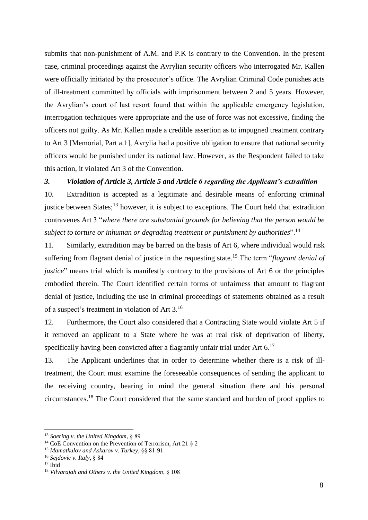submits that non-punishment of A.M. and P.K is contrary to the Convention. In the present case, criminal proceedings against the Avrylian security officers who interrogated Mr. Kallen were officially initiated by the prosecutor's office. The Avrylian Criminal Code punishes acts of ill-treatment committed by officials with imprisonment between 2 and 5 years. However, the Avrylian's court of last resort found that within the applicable emergency legislation, interrogation techniques were appropriate and the use of force was not excessive, finding the officers not guilty. As Mr. Kallen made a credible assertion as to impugned treatment contrary to Art 3 [Memorial, Part a.1], Avrylia had a positive obligation to ensure that national security officers would be punished under its national law. However, as the Respondent failed to take this action, it violated Art 3 of the Convention.

# *3. Violation of Article 3, Article 5 and Article 6 regarding the Applicant's extradition*

10. Extradition is accepted as a legitimate and desirable means of enforcing criminal justice between States;<sup>13</sup> however, it is subject to exceptions. The Court held that extradition contravenes Art 3 "*where there are substantial grounds for believing that the person would be subject to torture or inhuman or degrading treatment or punishment by authorities*".<sup>14</sup>

11. Similarly, extradition may be barred on the basis of Art 6, where individual would risk suffering from flagrant denial of justice in the requesting state.<sup>15</sup> The term "*flagrant denial of justice*" means trial which is manifestly contrary to the provisions of Art 6 or the principles embodied therein. The Court identified certain forms of unfairness that amount to flagrant denial of justice, including the use in criminal proceedings of statements obtained as a result of a suspect's treatment in violation of Art 3.<sup>16</sup>

12. Furthermore, the Court also considered that a Contracting State would violate Art 5 if it removed an applicant to a State where he was at real risk of deprivation of liberty, specifically having been convicted after a flagrantly unfair trial under Art  $6$ <sup>17</sup>

13. The Applicant underlines that in order to determine whether there is a risk of illtreatment, the Court must examine the foreseeable consequences of sending the applicant to the receiving country, bearing in mind the general situation there and his personal circumstances.<sup>18</sup> The Court considered that the same standard and burden of proof applies to

<sup>13</sup> *Soering v. the United Kingdom*, § 89

<sup>&</sup>lt;sup>14</sup> CoE Convention on the Prevention of Terrorism, Art 21  $\S$  2

<sup>15</sup> *Mamatkulov and Askarov v. Turkey*, §§ 81-91

<sup>16</sup> *Sejdovic v. Italy*, § 84

 $17$  Ibid

<sup>18</sup> *Vilvarajah and Others v. the United Kingdom*, § 108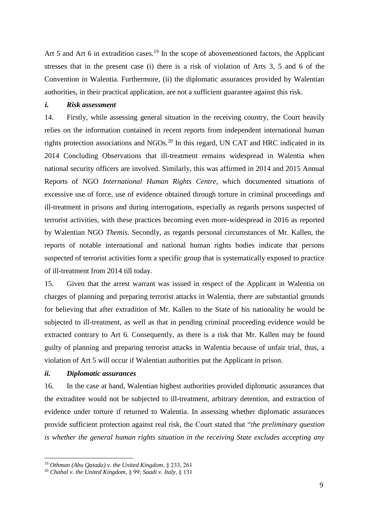Art 5 and Art 6 in extradition cases.<sup>19</sup> In the scope of abovementioned factors, the Applicant stresses that in the present case (i) there is a risk of violation of Arts 3, 5 and 6 of the Convention in Walentia. Furthermore, (ii) the diplomatic assurances provided by Walentian authorities, in their practical application, are not a sufficient guarantee against this risk.

# *i. Risk assessment*

14. Firstly, while assessing general situation in the receiving country, the Court heavily relies on the information contained in recent reports from independent international human rights protection associations and NGOs.<sup>20</sup> In this regard, UN CAT and HRC indicated in its 2014 Concluding Observations that ill-treatment remains widespread in Walentia when national security officers are involved. Similarly, this was affirmed in 2014 and 2015 Annual Reports of NGO *International Human Rights Centre*, which documented situations of excessive use of force, use of evidence obtained through torture in criminal proceedings and ill-treatment in prisons and during interrogations, especially as regards persons suspected of terrorist activities, with these practices becoming even more-widespread in 2016 as reported by Walentian NGO *Themis*. Secondly, as regards personal circumstances of Mr. Kallen, the reports of notable international and national human rights bodies indicate that persons suspected of terrorist activities form a specific group that is systematically exposed to practice of ill-treatment from 2014 till today.

15. Given that the arrest warrant was issued in respect of the Applicant in Walentia on charges of planning and preparing terrorist attacks in Walentia, there are substantial grounds for believing that after extradition of Mr. Kallen to the State of his nationality he would be subjected to ill-treatment, as well as that in pending criminal proceeding evidence would be extracted contrary to Art 6*.* Consequently, as there is a risk that Mr. Kallen may be found guilty of planning and preparing terrorist attacks in Walentia because of unfair trial, thus, a violation of Art 5 will occur if Walentian authorities put the Applicant in prison.

#### *ii. Diplomatic assurances*

-

16. In the case at hand, Walentian highest authorities provided diplomatic assurances that the extraditee would not be subjected to ill-treatment, arbitrary detention, and extraction of evidence under torture if returned to Walentia. In assessing whether diplomatic assurances provide sufficient protection against real risk, the Court stated that "*the preliminary question is whether the general human rights situation in the receiving State excludes accepting any* 

<sup>19</sup> *Othman (Abu Qatada) v. the United Kingdom*, § 233, 261

<sup>20</sup> *Chahal v. the United Kingdom*, § 99; *Saadi v. Italy*, § 131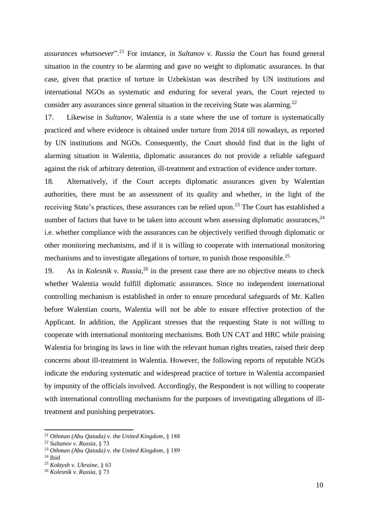*assurances whatsoever*".<sup>21</sup> For instance, in *Sultanov v. Russia* the Court has found general situation in the country to be alarming and gave no weight to diplomatic assurances. In that case, given that practice of torture in Uzbekistan was described by UN institutions and international NGOs as systematic and enduring for several years, the Court rejected to consider any assurances since general situation in the receiving State was alarming.<sup>22</sup>

17. Likewise in *Sultanov*, Walentia is a state where the use of torture is systematically practiced and where evidence is obtained under torture from 2014 till nowadays, as reported by UN institutions and NGOs. Consequently, the Court should find that in the light of alarming situation in Walentia, diplomatic assurances do not provide a reliable safeguard against the risk of arbitrary detention, ill-treatment and extraction of evidence under torture.

18. Alternatively, if the Court accepts diplomatic assurances given by Walentian authorities, there must be an assessment of its quality and whether, in the light of the receiving State's practices, these assurances can be relied upon.<sup>23</sup> The Court has established a number of factors that have to be taken into account when assessing diplomatic assurances,  $24$ i.e. whether compliance with the assurances can be objectively verified through diplomatic or other monitoring mechanisms, and if it is willing to cooperate with international monitoring mechanisms and to investigate allegations of torture, to punish those responsible.<sup>25</sup>

19. As in *Kolesnik v. Russia*, <sup>26</sup> in the present case there are no objective means to check whether Walentia would fulfill diplomatic assurances. Since no independent international controlling mechanism is established in order to ensure procedural safeguards of Mr. Kallen before Walentian courts, Walentia will not be able to ensure effective protection of the Applicant. In addition, the Applicant stresses that the requesting State is not willing to cooperate with international monitoring mechanisms. Both UN CAT and HRC while praising Walentia for bringing its laws in line with the relevant human rights treaties, raised their deep concerns about ill-treatment in Walentia. However, the following reports of reputable NGOs indicate the enduring systematic and widespread practice of torture in Walentia accompanied by impunity of the officials involved. Accordingly, the Respondent is not willing to cooperate with international controlling mechanisms for the purposes of investigating allegations of illtreatment and punishing perpetrators.

<sup>21</sup> *Othman (Abu Qatada) v. the United Kingdom*, § 188

<sup>22</sup> *Sultanov v. Russia*, § 73

<sup>23</sup> *Othman (Abu Qatada) v. the United Kingdom*, § 189

 $24$  Ibid

<sup>25</sup> *Koktysh v. Ukraine*, § 63

<sup>26</sup> *Kolesnik v. Russia*, § 73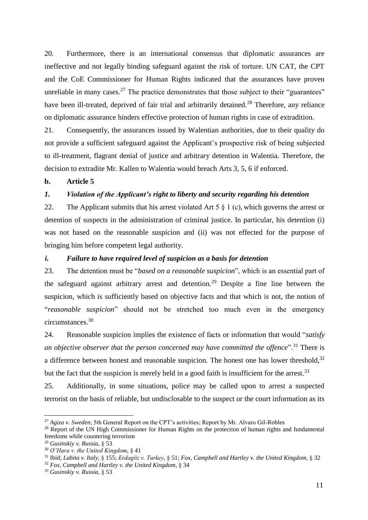20. Furthermore, there is an international consensus that diplomatic assurances are ineffective and not legally binding safeguard against the risk of torture. UN CAT, the CPT and the CoE Commissioner for Human Rights indicated that the assurances have proven unreliable in many cases.<sup>27</sup> The practice demonstrates that those subject to their "guarantees" have been ill-treated, deprived of fair trial and arbitrarily detained.<sup>28</sup> Therefore, any reliance on diplomatic assurance hinders effective protection of human rights in case of extradition.

21. Consequently, the assurances issued by Walentian authorities, due to their quality do not provide a sufficient safeguard against the Applicant's prospective risk of being subjected to ill-treatment, flagrant denial of justice and arbitrary detention in Walentia. Therefore, the decision to extradite Mr. Kallen to Walentia would breach Arts 3, 5, 6 if enforced.

# **b. Article 5**

# *1. Violation of the Applicant's right to liberty and security regarding his detention*

22. The Applicant submits that his arrest violated Art 5  $\S$  1 (c), which governs the arrest or detention of suspects in the administration of criminal justice. In particular, his detention (i) was not based on the reasonable suspicion and (ii) was not effected for the purpose of bringing him before competent legal authority.

# *i. Failure to have required level of suspicion as a basis for detention*

23. The detention must be "*based on a reasonable suspicion*", which is an essential part of the safeguard against arbitrary arrest and detention.<sup>29</sup> Despite a fine line between the suspicion, which is sufficiently based on objective facts and that which is not, the notion of "*reasonable suspicion*" should not be stretched too much even in the emergency circumstances.<sup>30</sup>

24. Reasonable suspicion implies the existence of facts or information that would "*satisfy an objective observer that the person concerned may have committed the offence*".<sup>31</sup> There is a difference between honest and reasonable suspicion. The honest one has lower threshold,  $32$ but the fact that the suspicion is merely held in a good faith is insufficient for the arrest.<sup>33</sup>

25. Additionally, in some situations, police may be called upon to arrest a suspected terrorist on the basis of reliable, but undisclosable to the suspect or the court information as its

<sup>-</sup><sup>27</sup> *Agiza v. Sweden*; 5th General Report on the CPT's activities; Report by Mr. Alvaro Gil-Robles

<sup>&</sup>lt;sup>28</sup> Report of the UN High Commissioner for Human Rights on the protection of human rights and fundamental freedoms while countering terrorism

<sup>29</sup> *Gusinskiy v. Russia*, § 53

<sup>30</sup> *O'Hara v. the United Kingdom*, § 41

<sup>31</sup> Ibid; *Labita v. Italy*, § 155; *Erdagöz v. Turkey*, § 51; *Fox, Campbell and Hartley v. the United Kingdom*, § 32

<sup>32</sup> *Fox, Campbell and Hartley v. the United Kingdom*, § 34

<sup>33</sup> *Gusinskiy v. Russia*, § 53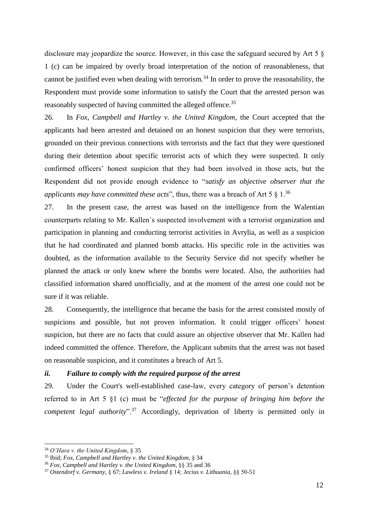disclosure may jeopardize the source. However, in this case the safeguard secured by Art 5 § 1 (c) can be impaired by overly broad interpretation of the notion of reasonableness, that cannot be justified even when dealing with terrorism.<sup>34</sup> In order to prove the reasonability, the Respondent must provide some information to satisfy the Court that the arrested person was reasonably suspected of having committed the alleged offence.<sup>35</sup>

26. In *Fox, Campbell and Hartley v. the United Kingdom*, the Court accepted that the applicants had been arrested and detained on an honest suspicion that they were terrorists, grounded on their previous connections with terrorists and the fact that they were questioned during their detention about specific terrorist acts of which they were suspected. It only confirmed officers' honest suspicion that they had been involved in those acts, but the Respondent did not provide enough evidence to "*satisfy an objective observer that the applicants may have committed these acts*", thus, there was a breach of Art 5  $\S$  1.<sup>36</sup>

27. In the present case, the arrest was based on the intelligence from the Walentian counterparts relating to Mr. Kallen´s suspected involvement with a terrorist organization and participation in planning and conducting terrorist activities in Avrylia, as well as a suspicion that he had coordinated and planned bomb attacks. His specific role in the activities was doubted, as the information available to the Security Service did not specify whether he planned the attack or only knew where the bombs were located. Also, the authorities had classified information shared unofficially, and at the moment of the arrest one could not be sure if it was reliable.

28. Consequently, the intelligence that became the basis for the arrest consisted mostly of suspicions and possible, but not proven information. It could trigger officers' honest suspicion, but there are no facts that could assure an objective observer that Mr. Kallen had indeed committed the offence. Therefore, the Applicant submits that the arrest was not based on reasonable suspicion, and it constitutes a breach of Art 5.

# *ii. Failure to comply with the required purpose of the arrest*

29. Under the Court's well-established case-law, every category of person's detention referred to in Art 5 §1 (c) must be "*effected for the purpose of bringing him before the competent legal authority*"<sup>37</sup> Accordingly, deprivation of liberty is permitted only in

<sup>34</sup> *O'Hara v. the United Kingdom*, § 35

<sup>35</sup> Ibid; *Fox, Campbell and Hartley v. the United Kingdom*, § 34

<sup>36</sup> *Fox, Campbell and Hartley v. the United Kingdom*, §§ 35 and 36

<sup>37</sup> *Ostendorf v. Germany*, § 67; *Lawless v. Ireland* § 14; *Jecius v. Lithuania*, §§ 50-51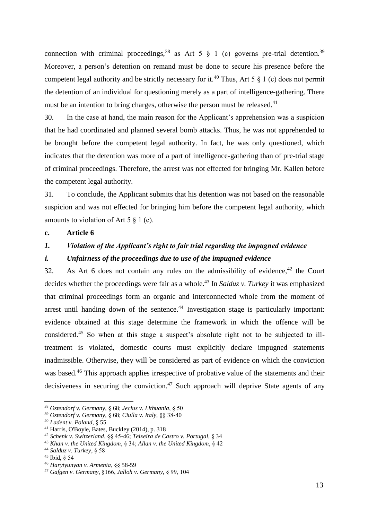connection with criminal proceedings,<sup>38</sup> as Art 5  $\S$  1 (c) governs pre-trial detention.<sup>39</sup> Moreover, a person's detention on remand must be done to secure his presence before the competent legal authority and be strictly necessary for it.<sup>40</sup> Thus, Art 5  $\frac{8}{1}$  (c) does not permit the detention of an individual for questioning merely as a part of intelligence-gathering. There must be an intention to bring charges, otherwise the person must be released.<sup>41</sup>

30. In the case at hand, the main reason for the Applicant's apprehension was a suspicion that he had coordinated and planned several bomb attacks. Thus, he was not apprehended to be brought before the competent legal authority. In fact, he was only questioned, which indicates that the detention was more of a part of intelligence-gathering than of pre-trial stage of criminal proceedings. Therefore, the arrest was not effected for bringing Mr. Kallen before the competent legal authority.

31. To conclude, the Applicant submits that his detention was not based on the reasonable suspicion and was not effected for bringing him before the competent legal authority, which amounts to violation of Art  $5 \n\& 1$  (c).

# **c. Article 6**

# *1. Violation of the Applicant's right to fair trial regarding the impugned evidence*

# *i. Unfairness of the proceedings due to use of the impugned evidence*

32. As Art 6 does not contain any rules on the admissibility of evidence,  $42$  the Court decides whether the proceedings were fair as a whole. <sup>43</sup> In *Salduz v. Turkey* it was emphasized that criminal proceedings form an organic and interconnected whole from the moment of arrest until handing down of the sentence. $44$  Investigation stage is particularly important: evidence obtained at this stage determine the framework in which the offence will be considered.<sup>45</sup> So when at this stage a suspect's absolute right not to be subjected to illtreatment is violated, domestic courts must explicitly declare impugned statements inadmissible. Otherwise, they will be considered as part of evidence on which the conviction was based.<sup>46</sup> This approach applies irrespective of probative value of the statements and their decisiveness in securing the conviction.<sup>47</sup> Such approach will deprive State agents of any

<sup>38</sup> *Ostendorf v. Germany*, § 68; *Jecius v. Lithuania*, § 50

<sup>39</sup> *Ostendorf v. Germany*, § 68; *Ciulla v. Italy,* §§ 38-40

<sup>40</sup> *Ladent v. Poland*, § 55

<sup>41</sup> Harris, O'Boyle, Bates, Buckley (2014), p. 318

<sup>42</sup> *Schenk v. Switzerland*, §§ 45-46; *Teixeira de Castro v. Portugal,* § 34

<sup>43</sup> *Khan v. the United Kingdom*, § 34; *Allan v. the United Kingdom*, § 42

<sup>44</sup> *Salduz v. Turkey*, § 58

<sup>45</sup> Ibid, § 54

<sup>46</sup> *Harytyunyan v. Armenia*, §§ 58-59

<sup>47</sup> *Gafgen v. Germany*, §166, *Jalloh v. Germany,* § 99, 104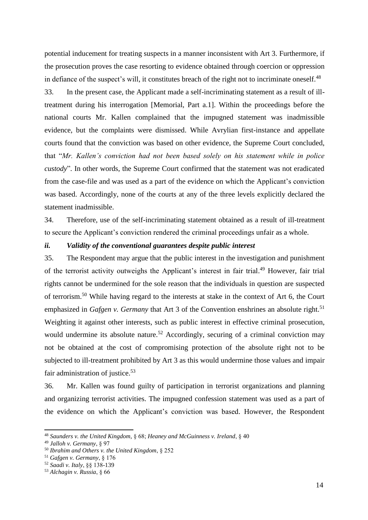potential inducement for treating suspects in a manner inconsistent with Art 3. Furthermore, if the prosecution proves the case resorting to evidence obtained through coercion or oppression in defiance of the suspect's will, it constitutes breach of the right not to incriminate oneself.<sup>48</sup>

33. In the present case, the Applicant made a self-incriminating statement as a result of illtreatment during his interrogation [Memorial, Part a.1]. Within the proceedings before the national courts Mr. Kallen complained that the impugned statement was inadmissible evidence, but the complaints were dismissed. While Avrylian first-instance and appellate courts found that the conviction was based on other evidence, the Supreme Court concluded, that "*Mr. Kallen's conviction had not been based solely on his statement while in police custody*". In other words, the Supreme Court confirmed that the statement was not eradicated from the case-file and was used as a part of the evidence on which the Applicant's conviction was based. Accordingly, none of the courts at any of the three levels explicitly declared the statement inadmissible.

34. Therefore, use of the self-incriminating statement obtained as a result of ill-treatment to secure the Applicant's conviction rendered the criminal proceedings unfair as a whole.

#### *ii. Validity of the conventional guarantees despite public interest*

35. The Respondent may argue that the public interest in the investigation and punishment of the terrorist activity outweighs the Applicant's interest in fair trial.<sup>49</sup> However, fair trial rights cannot be undermined for the sole reason that the individuals in question are suspected of terrorism.<sup>50</sup> While having regard to the interests at stake in the context of Art 6, the Court emphasized in *Gafgen v. Germany* that Art 3 of the Convention enshrines an absolute right.<sup>51</sup> Weighting it against other interests, such as public interest in effective criminal prosecution, would undermine its absolute nature.<sup>52</sup> Accordingly, securing of a criminal conviction may not be obtained at the cost of compromising protection of the absolute right not to be subjected to ill-treatment prohibited by Art 3 as this would undermine those values and impair fair administration of justice.<sup>53</sup>

36. Mr. Kallen was found guilty of participation in terrorist organizations and planning and organizing terrorist activities. The impugned confession statement was used as a part of the evidence on which the Applicant's conviction was based. However, the Respondent

<sup>48</sup> *Saunders v. the United Kingdom*, § 68; *Heaney and McGuinness v. Ireland*, § 40

<sup>49</sup> *Jalloh v. Germany*, § 97

<sup>50</sup> *Ibrahim and Others v. the United Kingdom*, § 252

<sup>51</sup> *Gafgen v. Germany*, § 176

<sup>52</sup> *Saadi v. Italy*, §§ 138-139

<sup>53</sup> *Alchagin v. Russia*, § 66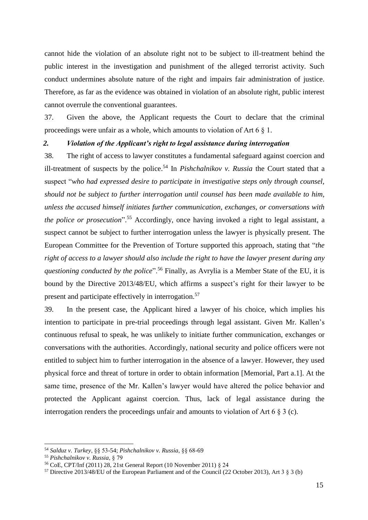cannot hide the violation of an absolute right not to be subject to ill-treatment behind the public interest in the investigation and punishment of the alleged terrorist activity. Such conduct undermines absolute nature of the right and impairs fair administration of justice. Therefore, as far as the evidence was obtained in violation of an absolute right, public interest cannot overrule the conventional guarantees.

37. Given the above, the Applicant requests the Court to declare that the criminal proceedings were unfair as a whole, which amounts to violation of Art 6 § 1.

# *2. Violation of the Applicant's right to legal assistance during interrogation*

38. The right of access to lawyer constitutes a fundamental safeguard against coercion and ill-treatment of suspects by the police. <sup>54</sup> In *Pishchalnikov v. Russia* the Court stated that a suspect "*who had expressed desire to participate in investigative steps only through counsel, should not be subject to further interrogation until counsel has been made available to him, unless the accused himself initiates further communication, exchanges, or conversations with the police or prosecution*". <sup>55</sup> Accordingly, once having invoked a right to legal assistant, a suspect cannot be subject to further interrogation unless the lawyer is physically present. The European Committee for the Prevention of Torture supported this approach, stating that "*the right of access to a lawyer should also include the right to have the lawyer present during any questioning conducted by the police*".<sup>56</sup> Finally, as Avrylia is a Member State of the EU, it is bound by the Directive 2013/48/EU, which affirms a suspect's right for their lawyer to be present and participate effectively in interrogation.<sup>57</sup>

39. In the present case, the Applicant hired a lawyer of his choice, which implies his intention to participate in pre-trial proceedings through legal assistant. Given Mr. Kallen's continuous refusal to speak, he was unlikely to initiate further communication, exchanges or conversations with the authorities. Accordingly, national security and police officers were not entitled to subject him to further interrogation in the absence of a lawyer. However, they used physical force and threat of torture in order to obtain information [Memorial, Part a.1]. At the same time, presence of the Mr. Kallen's lawyer would have altered the police behavior and protected the Applicant against coercion. Thus, lack of legal assistance during the interrogation renders the proceedings unfair and amounts to violation of Art 6 § 3 (c).

<sup>54</sup> *Salduz v. Turkey*, §§ 53-54; *Pishchalnikov v. Russia*, §§ 68-69

<sup>55</sup> *Pishchalnikov v. Russia*, § 79

<sup>56</sup> CoE, CPT/Inf (2011) 28, 21st General Report (10 November 2011) § 24

<sup>57</sup> Directive 2013/48/EU of the European Parliament and of the Council (22 October 2013), Art 3 § 3 (b)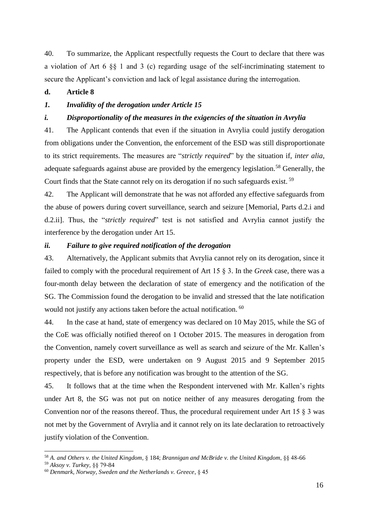40. To summarize, the Applicant respectfully requests the Court to declare that there was a violation of Art 6 §§ 1 and 3 (c) regarding usage of the self-incriminating statement to secure the Applicant's conviction and lack of legal assistance during the interrogation.

# **d. Article 8**

# *1. Invalidity of the derogation under Article 15*

#### *i. Disproportionality of the measures in the exigencies of the situation in Avrylia*

41. The Applicant contends that even if the situation in Avrylia could justify derogation from obligations under the Convention, the enforcement of the ESD was still disproportionate to its strict requirements. The measures are "*strictly required*" by the situation if, *inter alia*, adequate safeguards against abuse are provided by the emergency legislation.<sup>58</sup> Generally, the Court finds that the State cannot rely on its derogation if no such safeguards exist. <sup>59</sup>

42. The Applicant will demonstrate that he was not afforded any effective safeguards from the abuse of powers during covert surveillance, search and seizure [Memorial, Parts d.2.i and d.2.ii]. Thus, the "*strictly required*" test is not satisfied and Avrylia cannot justify the interference by the derogation under Art 15.

#### *ii. Failure to give required notification of the derogation*

43. Alternatively, the Applicant submits that Avrylia cannot rely on its derogation, since it failed to comply with the procedural requirement of Art 15 § 3. In the *Greek* case, there was a four-month delay between the declaration of state of emergency and the notification of the SG. The Commission found the derogation to be invalid and stressed that the late notification would not justify any actions taken before the actual notification. <sup>60</sup>

44. In the case at hand, state of emergency was declared on 10 May 2015, while the SG of the CoE was officially notified thereof on 1 October 2015. The measures in derogation from the Convention, namely covert surveillance as well as search and seizure of the Mr. Kallen's property under the ESD, were undertaken on 9 August 2015 and 9 September 2015 respectively, that is before any notification was brought to the attention of the SG.

45. It follows that at the time when the Respondent intervened with Mr. Kallen's rights under Art 8, the SG was not put on notice neither of any measures derogating from the Convention nor of the reasons thereof. Thus, the procedural requirement under Art 15 § 3 was not met by the Government of Avrylia and it cannot rely on its late declaration to retroactively justify violation of the Convention.

<sup>58</sup> *A. and Others v. the United Kingdom,* § 184; *Brannigan and McBride v. the United Kingdom*, §§ 48-66

<sup>59</sup> *Aksoy v. Turkey,* §§ 79-84

<sup>60</sup> *Denmark, Norway, Sweden and the Netherlands v. Greece*, § 45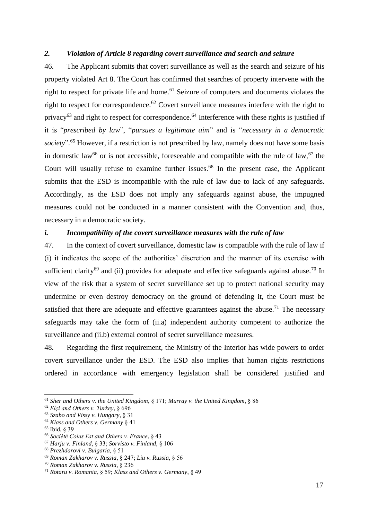#### *2. Violation of Article 8 regarding covert surveillance and search and seizure*

46. The Applicant submits that covert surveillance as well as the search and seizure of his property violated Art 8. The Court has confirmed that searches of property intervene with the right to respect for private life and home.<sup>61</sup> Seizure of computers and documents violates the right to respect for correspondence.<sup>62</sup> Covert surveillance measures interfere with the right to privacy<sup>63</sup> and right to respect for correspondence.<sup>64</sup> Interference with these rights is justified if it is "*prescribed by law*", "*pursues a legitimate aim*" and is "*necessary in a democratic*  society".<sup>65</sup> However, if a restriction is not prescribed by law, namely does not have some basis in domestic law<sup>66</sup> or is not accessible, foreseeable and compatible with the rule of law,<sup>67</sup> the Court will usually refuse to examine further issues.<sup>68</sup> In the present case, the Applicant submits that the ESD is incompatible with the rule of law due to lack of any safeguards. Accordingly, as the ESD does not imply any safeguards against abuse, the impugned measures could not be conducted in a manner consistent with the Convention and, thus, necessary in a democratic society.

# *i. Incompatibility of the covert surveillance measures with the rule of law*

47. In the context of covert surveillance, domestic law is compatible with the rule of law if (i) it indicates the scope of the authorities' discretion and the manner of its exercise with sufficient clarity<sup>69</sup> and (ii) provides for adequate and effective safeguards against abuse.<sup>70</sup> In view of the risk that a system of secret surveillance set up to protect national security may undermine or even destroy democracy on the ground of defending it, the Court must be satisfied that there are adequate and effective guarantees against the abuse.<sup>71</sup> The necessary safeguards may take the form of (ii.a) independent authority competent to authorize the surveillance and (ii.b) external control of secret surveillance measures.

48. Regarding the first requirement, the Ministry of the Interior has wide powers to order covert surveillance under the ESD. The ESD also implies that human rights restrictions ordered in accordance with emergency legislation shall be considered justified and

<sup>61</sup> *Sher and Others v. the United Kingdom*, § 171; *Murray v. the United Kingdom*, § 86

<sup>62</sup> *Elçi and Others v. Turkey*, § 696

<sup>63</sup> *Szabo and Vissy v. Hungary*, § 31

<sup>64</sup> *Klass and Others v. Germany* § 41

<sup>65</sup> Ibid, § 39

<sup>66</sup> *Société Colas Est and Others v. France*, § 43

<sup>67</sup> *Harju v. Finland*, § 33; *Sorvisto v. Finland*, § 106

<sup>68</sup> *Prezhdarovi v. Bulgaria,* § 51

<sup>69</sup> *Roman Zakharov v. Russia*, § 247; *Liu v. Russia*, § 56

<sup>70</sup> *Roman Zakharov v. Russia*, § 236

<sup>71</sup> *Rotaru v. Romania*, § 59; *Klass and Others v. Germany*, § 49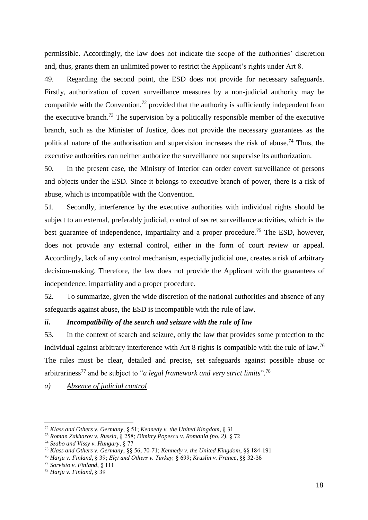permissible. Accordingly, the law does not indicate the scope of the authorities' discretion and, thus, grants them an unlimited power to restrict the Applicant's rights under Art 8.

49. Regarding the second point, the ESD does not provide for necessary safeguards. Firstly, authorization of covert surveillance measures by a non-judicial authority may be compatible with the Convention,<sup>72</sup> provided that the authority is sufficiently independent from the executive branch.<sup>73</sup> The supervision by a politically responsible member of the executive branch, such as the Minister of Justice, does not provide the necessary guarantees as the political nature of the authorisation and supervision increases the risk of abuse.<sup>74</sup> Thus, the executive authorities can neither authorize the surveillance nor supervise its authorization.

50. In the present case, the Ministry of Interior can order covert surveillance of persons and objects under the ESD. Since it belongs to executive branch of power, there is a risk of abuse, which is incompatible with the Convention.

51. Secondly, interference by the executive authorities with individual rights should be subject to an external, preferably judicial, control of secret surveillance activities, which is the best guarantee of independence, impartiality and a proper procedure.<sup>75</sup> The ESD, however, does not provide any external control, either in the form of court review or appeal. Accordingly, lack of any control mechanism, especially judicial one, creates a risk of arbitrary decision-making. Therefore, the law does not provide the Applicant with the guarantees of independence, impartiality and a proper procedure.

52. To summarize, given the wide discretion of the national authorities and absence of any safeguards against abuse, the ESD is incompatible with the rule of law.

# *ii. Incompatibility of the search and seizure with the rule of law*

53. In the context of search and seizure, only the law that provides some protection to the individual against arbitrary interference with Art 8 rights is compatible with the rule of law.<sup>76</sup> The rules must be clear, detailed and precise, set safeguards against possible abuse or arbitrariness<sup>77</sup> and be subject to "*a legal framework and very strict limits*"*.* 78

*a) Absence of judicial control*

<sup>-</sup><sup>72</sup> *Klass and Others v. Germany*, § 51; *Kennedy v. the United Kingdom*, § 31

<sup>73</sup> *Roman Zakharov v. Russia*, § 258; *Dimitry Popescu v. Romania (no. 2)*, § 72

<sup>74</sup> *Szabo and Vissy v. Hungary*, § 77

<sup>75</sup> *Klass and Others v. Germany*, §§ 56, 70-71; *Kennedy v. the United Kingdom*, §§ 184-191

<sup>76</sup> *Harju v. Finland*, § 39; *Elçi and Others v. Turkey,* § 699; *Kruslin v. France*, §§ 32-36

<sup>77</sup> *Sorvisto v. Finland*, § 111

<sup>78</sup> *Harju v. Finland*, § 39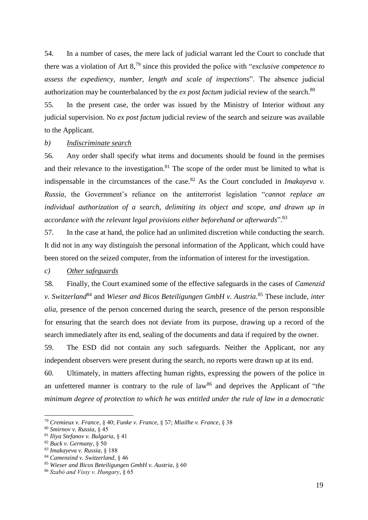54. In a number of cases*,* the mere lack of judicial warrant led the Court to conclude that there was a violation of Art 8,<sup>79</sup> since this provided the police with "*exclusive competence to assess the expediency, number, length and scale of inspections*". The absence judicial authorization may be counterbalanced by the *ex post factum* judicial review of the search.<sup>80</sup>

55. In the present case, the order was issued by the Ministry of Interior without any judicial supervision. No *ex post factum* judicial review of the search and seizure was available to the Applicant.

# *b) Indiscriminate search*

56. Any order shall specify what items and documents should be found in the premises and their relevance to the investigation.<sup>81</sup> The scope of the order must be limited to what is indispensable in the circumstances of the case.<sup>82</sup> As the Court concluded in *Imakayeva v. Russia*, the Government's reliance on the antiterrorist legislation "*cannot replace an individual authorization of a search, delimiting its object and scope, and drawn up in accordance with the relevant legal provisions either beforehand or afterwards*". 83

57. In the case at hand, the police had an unlimited discretion while conducting the search. It did not in any way distinguish the personal information of the Applicant, which could have been stored on the seized computer, from the information of interest for the investigation.

# *c) Other safeguards*

58. Finally, the Court examined some of the effective safeguards in the cases of *Camenzid v. Switzerland*<sup>84</sup> and *Wieser and Bicos Beteiligungen GmbH v. Austria.*<sup>85</sup> These include, *inter alia*, presence of the person concerned during the search, presence of the person responsible for ensuring that the search does not deviate from its purpose, drawing up a record of the search immediately after its end, sealing of the documents and data if required by the owner.

59. The ESD did not contain any such safeguards. Neither the Applicant, nor any independent observers were present during the search, no reports were drawn up at its end.

60. Ultimately, in matters affecting human rights, expressing the powers of the police in an unfettered manner is contrary to the rule of law<sup>86</sup> and deprives the Applicant of "*the minimum degree of protection to which he was entitled under the rule of law in a democratic* 

<sup>79</sup> *Cremieux v. France*, § 40; *Funke v. France*, § 57; *Miailhe v. France*, § 38

<sup>80</sup> *Smirnov v. Russia,* § 45

<sup>81</sup> *Iliya Stefanov v. Bulgaria*, § 41

<sup>82</sup> *Buck v. Germany*, § 50

<sup>83</sup> *Imakayeva v. Russia*, § 188

<sup>84</sup> *Camenzind v. Switzerland*, § 46

<sup>85</sup> *Wieser and Bicos Beteiligungen GmbH v. Austria*, § 60

<sup>86</sup> *Szabó and Vissy v. Hungary*, § 65